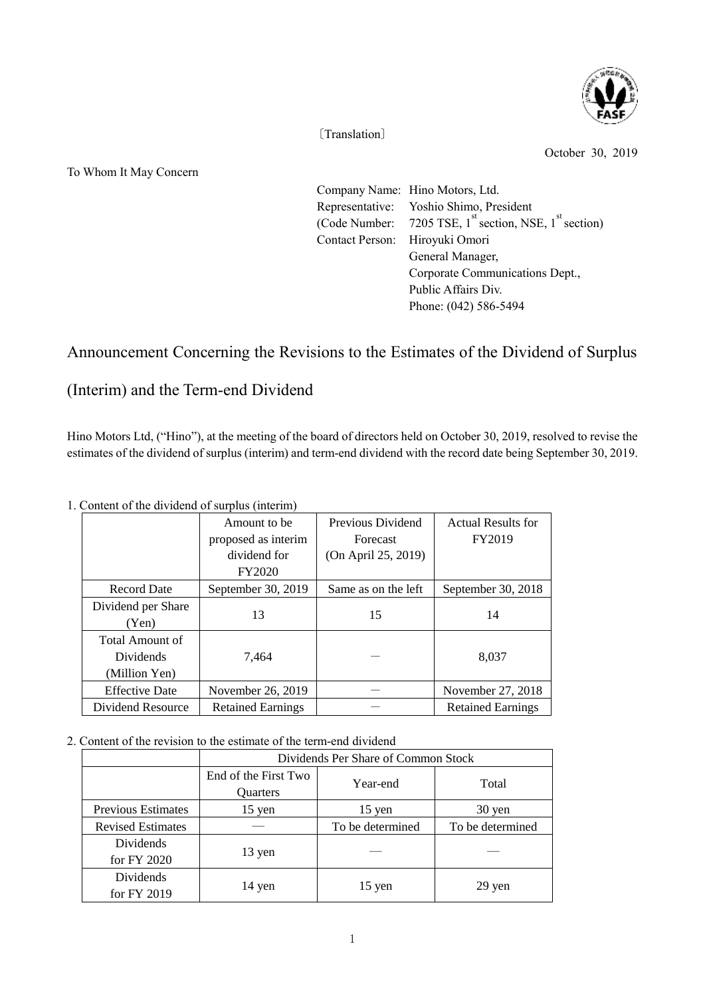

〔Translation〕

October 30, 2019

To Whom It May Concern

|                                | Company Name: Hino Motors, Ltd.                                  |  |  |
|--------------------------------|------------------------------------------------------------------|--|--|
|                                | Representative: Yoshio Shimo, President                          |  |  |
|                                | (Code Number: 7205 TSE, $1^{st}$ section, NSE, $1^{st}$ section) |  |  |
| Contact Person: Hiroyuki Omori |                                                                  |  |  |
|                                | General Manager,                                                 |  |  |
|                                | Corporate Communications Dept.,                                  |  |  |
|                                | Public Affairs Div.                                              |  |  |
|                                | Phone: (042) 586-5494                                            |  |  |
|                                |                                                                  |  |  |

## Announcement Concerning the Revisions to the Estimates of the Dividend of Surplus

## (Interim) and the Term-end Dividend

Hino Motors Ltd, ("Hino"), at the meeting of the board of directors held on October 30, 2019, resolved to revise the estimates of the dividend of surplus (interim) and term-end dividend with the record date being September 30, 2019.

|                       | Amount to be             | Previous Dividend   | <b>Actual Results for</b> |  |  |  |
|-----------------------|--------------------------|---------------------|---------------------------|--|--|--|
|                       | proposed as interim      | <b>Forecast</b>     | FY2019                    |  |  |  |
|                       | dividend for             | (On April 25, 2019) |                           |  |  |  |
|                       | <b>FY2020</b>            |                     |                           |  |  |  |
| <b>Record Date</b>    | September 30, 2019       | Same as on the left | September 30, 2018        |  |  |  |
| Dividend per Share    |                          |                     |                           |  |  |  |
| (Yen)                 | 13                       | 15                  | 14                        |  |  |  |
| Total Amount of       |                          |                     |                           |  |  |  |
| <b>Dividends</b>      | 7,464                    |                     | 8,037                     |  |  |  |
| (Million Yen)         |                          |                     |                           |  |  |  |
| <b>Effective Date</b> | November 26, 2019        |                     | November 27, 2018         |  |  |  |
| Dividend Resource     | <b>Retained Earnings</b> |                     | <b>Retained Earnings</b>  |  |  |  |

1. Content of the dividend of surplus (interim)

2. Content of the revision to the estimate of the term-end dividend

|                           | Dividends Per Share of Common Stock |                  |                  |  |
|---------------------------|-------------------------------------|------------------|------------------|--|
|                           | End of the First Two                | Year-end         | Total            |  |
|                           | Quarters                            |                  |                  |  |
| <b>Previous Estimates</b> | $15$ yen                            | $15$ yen         | 30 yen           |  |
| <b>Revised Estimates</b>  |                                     | To be determined | To be determined |  |
| Dividends                 | 13 yen                              |                  |                  |  |
| for FY 2020               |                                     |                  |                  |  |
| <b>Dividends</b>          | 14 yen                              | $15$ yen         | 29 yen           |  |
| for FY 2019               |                                     |                  |                  |  |